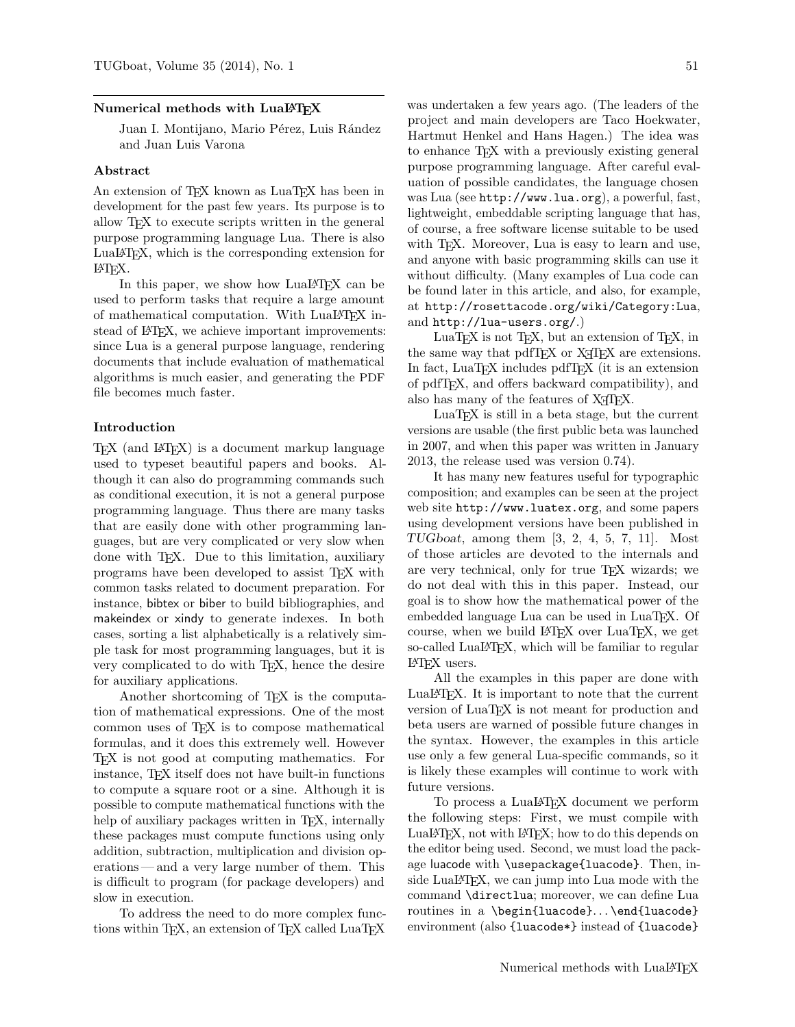#### Numerical methods with LuaL<sup>AT</sup>EX

Juan I. Montijano, Mario Pérez, Luis Rández and Juan Luis Varona

# Abstract

An extension of TEX known as LuaTEX has been in development for the past few years. Its purpose is to allow TEX to execute scripts written in the general purpose programming language Lua. There is also LuaLATEX, which is the corresponding extension for LATEX.

In this paper, we show how LuaLAT<sub>F</sub>X can be used to perform tasks that require a large amount of mathematical computation. With LuaLAT<sub>F</sub>X instead of LAT<sub>F</sub>X, we achieve important improvements: since Lua is a general purpose language, rendering documents that include evaluation of mathematical algorithms is much easier, and generating the PDF file becomes much faster.

# Introduction

TEX (and LATEX) is a document markup language used to typeset beautiful papers and books. Although it can also do programming commands such as conditional execution, it is not a general purpose programming language. Thus there are many tasks that are easily done with other programming languages, but are very complicated or very slow when done with TEX. Due to this limitation, auxiliary programs have been developed to assist TEX with common tasks related to document preparation. For instance, bibtex or biber to build bibliographies, and makeindex or xindy to generate indexes. In both cases, sorting a list alphabetically is a relatively simple task for most programming languages, but it is very complicated to do with TEX, hence the desire for auxiliary applications.

Another shortcoming of TEX is the computation of mathematical expressions. One of the most common uses of TEX is to compose mathematical formulas, and it does this extremely well. However TEX is not good at computing mathematics. For instance, TEX itself does not have built-in functions to compute a square root or a sine. Although it is possible to compute mathematical functions with the help of auxiliary packages written in T<sub>E</sub>X, internally these packages must compute functions using only addition, subtraction, multiplication and division operations— and a very large number of them. This is difficult to program (for package developers) and slow in execution.

To address the need to do more complex functions within TEX, an extension of TEX called LuaTEX

was undertaken a few years ago. (The leaders of the project and main developers are Taco Hoekwater, Hartmut Henkel and Hans Hagen.) The idea was to enhance TEX with a previously existing general purpose programming language. After careful evaluation of possible candidates, the language chosen was Lua (see http://www.lua.org), a powerful, fast, lightweight, embeddable scripting language that has, of course, a free software license suitable to be used with T<sub>E</sub>X. Moreover, Lua is easy to learn and use, and anyone with basic programming skills can use it without difficulty. (Many examples of Lua code can be found later in this article, and also, for example, at http://rosettacode.org/wiki/Category:Lua, and http://lua-users.org/.)

LuaT<sub>EX</sub> is not T<sub>EX</sub>, but an extension of T<sub>EX</sub>, in the same way that pdfTFX or X<sub>T</sub>TFX are extensions. In fact, LuaT<sub>EX</sub> includes pdfT<sub>EX</sub> (it is an extension of pdfTEX, and offers backward compatibility), and also has many of the features of X<sub>IIE</sub>X.

LuaTEX is still in a beta stage, but the current versions are usable (the first public beta was launched in 2007, and when this paper was written in January 2013, the release used was version 0.74).

It has many new features useful for typographic composition; and examples can be seen at the project web site http://www.luatex.org, and some papers using development versions have been published in  $TUGboat$ , among them  $[3, 2, 4, 5, 7, 11]$ . Most of those articles are devoted to the internals and are very technical, only for true TEX wizards; we do not deal with this in this paper. Instead, our goal is to show how the mathematical power of the embedded language Lua can be used in LuaT<sub>EX</sub>. Of course, when we build LATEX over LuaTEX, we get so-called LuaL<sup>AT</sup>EX, which will be familiar to regular LATEX users.

All the examples in this paper are done with LuaLATEX. It is important to note that the current version of LuaTEX is not meant for production and beta users are warned of possible future changes in the syntax. However, the examples in this article use only a few general Lua-specific commands, so it is likely these examples will continue to work with future versions.

To process a LuaLATEX document we perform the following steps: First, we must compile with LuaLATEX, not with LATEX; how to do this depends on the editor being used. Second, we must load the package luacode with \usepackage{luacode}. Then, inside LuaL<sup>A</sup>T<sub>E</sub>X, we can jump into Lua mode with the command \directlua; moreover, we can define Lua routines in a \begin{luacode}...\end{luacode} environment (also {luacode\*} instead of {luacode}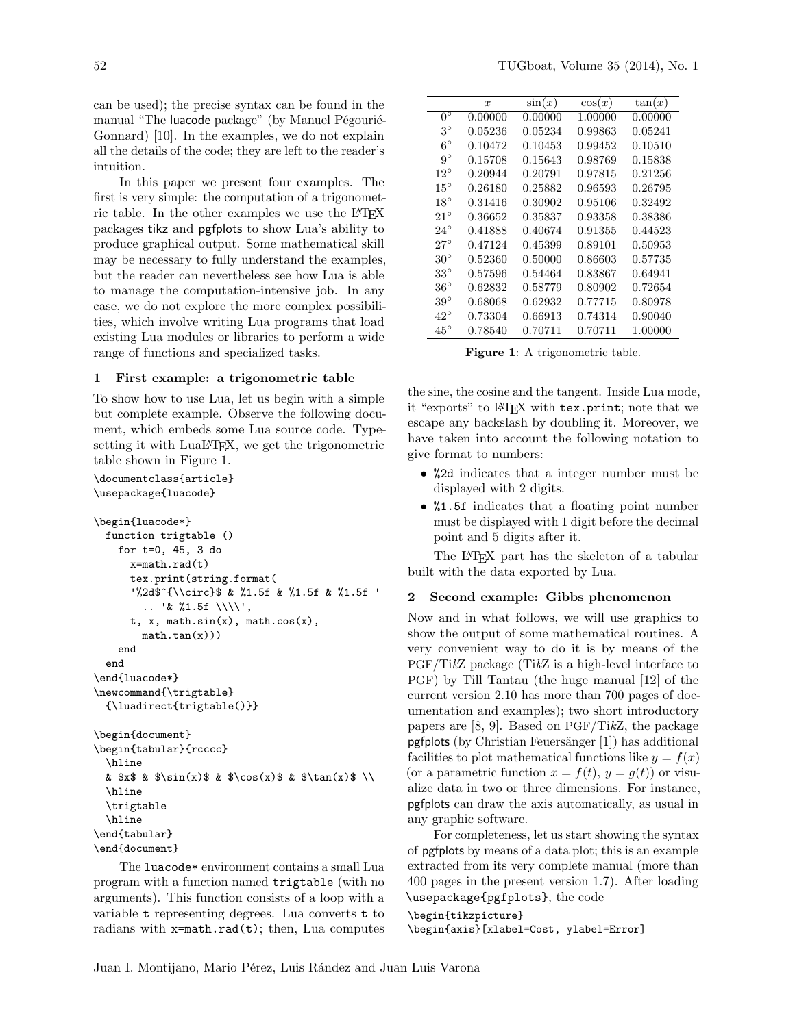can be used); the precise syntax can be found in the manual "The luacode package" (by Manuel Pégourié-Gonnard) [10]. In the examples, we do not explain all the details of the code; they are left to the reader's intuition.

In this paper we present four examples. The first is very simple: the computation of a trigonometric table. In the other examples we use the LATEX packages tikz and pgfplots to show Lua's ability to produce graphical output. Some mathematical skill may be necessary to fully understand the examples, but the reader can nevertheless see how Lua is able to manage the computation-intensive job. In any case, we do not explore the more complex possibilities, which involve writing Lua programs that load existing Lua modules or libraries to perform a wide range of functions and specialized tasks.

### 1 First example: a trigonometric table

To show how to use Lua, let us begin with a simple but complete example. Observe the following document, which embeds some Lua source code. Typesetting it with LuaL<sup>AT</sup>FX, we get the trigonometric table shown in Figure 1.

```
\documentclass{article}
\usepackage{luacode}
```

```
\begin{luacode*}
 function trigtable ()
    for t=0, 45, 3 do
      x=math.rad(t)
      tex.print(string.format(
      '%2d$^{\\circ}$ & %1.5f & %1.5f & %1.5f '
        .. '& %1.5f \\\\',
      t, x, math.sin(x), math.cos(x),
        math.tan(x))end
  end
\end{luacode*}
\newcommand{\trigtable}
  {\luadirect{trigtable()}}
\begin{document}
\begin{tabular}{rcccc}
  \hline
 & x$ & \sin(x)$ & \cos(x)$ & \tan(x)$ \\
  \hline
  \trigtable
  \hline
\end{tabular}
\end{document}
```
The luacode\* environment contains a small Lua program with a function named trigtable (with no arguments). This function consists of a loop with a variable t representing degrees. Lua converts t to radians with  $x=$ math.rad(t); then, Lua computes

|              | $\boldsymbol{x}$ | $\sin(x)$ | $\cos(x)$ | tan(x)  |
|--------------|------------------|-----------|-----------|---------|
| $0^{\circ}$  | 0.00000          | 0.00000   | 1.00000   | 0.00000 |
| $3^\circ$    | 0.05236          | 0.05234   | 0.99863   | 0.05241 |
| $6^{\circ}$  | 0.10472          | 0.10453   | 0.99452   | 0.10510 |
| $9^{\circ}$  | 0.15708          | 0.15643   | 0.98769   | 0.15838 |
| $12^{\circ}$ | 0.20944          | 0.20791   | 0.97815   | 0.21256 |
| $15^{\circ}$ | 0.26180          | 0.25882   | 0.96593   | 0.26795 |
| $18^{\circ}$ | 0.31416          | 0.30902   | 0.95106   | 0.32492 |
| $21^{\circ}$ | 0.36652          | 0.35837   | 0.93358   | 0.38386 |
| $24^{\circ}$ | 0.41888          | 0.40674   | 0.91355   | 0.44523 |
| $27^\circ$   | 0.47124          | 0.45399   | 0.89101   | 0.50953 |
| $30^{\circ}$ | 0.52360          | 0.50000   | 0.86603   | 0.57735 |
| $33^{\circ}$ | 0.57596          | 0.54464   | 0.83867   | 0.64941 |
| $36^{\circ}$ | 0.62832          | 0.58779   | 0.80902   | 0.72654 |
| $39^{\circ}$ | 0.68068          | 0.62932   | 0.77715   | 0.80978 |
| $42^{\circ}$ | 0.73304          | 0.66913   | 0.74314   | 0.90040 |
| $45^{\circ}$ | 0.78540          | 0.70711   | 0.70711   | 1.00000 |
|              |                  |           |           |         |

Figure 1: A trigonometric table.

the sine, the cosine and the tangent. Inside Lua mode, it "exports" to LATEX with tex.print; note that we escape any backslash by doubling it. Moreover, we have taken into account the following notation to give format to numbers:

- %2d indicates that a integer number must be displayed with 2 digits.
- %1.5f indicates that a floating point number must be displayed with 1 digit before the decimal point and 5 digits after it.

The L<sup>AT</sup>EX part has the skeleton of a tabular built with the data exported by Lua.

### 2 Second example: Gibbs phenomenon

Now and in what follows, we will use graphics to show the output of some mathematical routines. A very convenient way to do it is by means of the PGF/TikZ package (TikZ is a high-level interface to PGF) by Till Tantau (the huge manual [12] of the current version 2.10 has more than 700 pages of documentation and examples); two short introductory papers are [8, 9]. Based on PGF/TikZ, the package  $p$ gfplots (by Christian Feuersänger [1]) has additional facilities to plot mathematical functions like  $y = f(x)$ (or a parametric function  $x = f(t)$ ,  $y = q(t)$ ) or visualize data in two or three dimensions. For instance, pgfplots can draw the axis automatically, as usual in any graphic software.

For completeness, let us start showing the syntax of pgfplots by means of a data plot; this is an example extracted from its very complete manual (more than 400 pages in the present version 1.7). After loading \usepackage{pgfplots}, the code

# \begin{tikzpicture}

\begin{axis}[xlabel=Cost, ylabel=Error]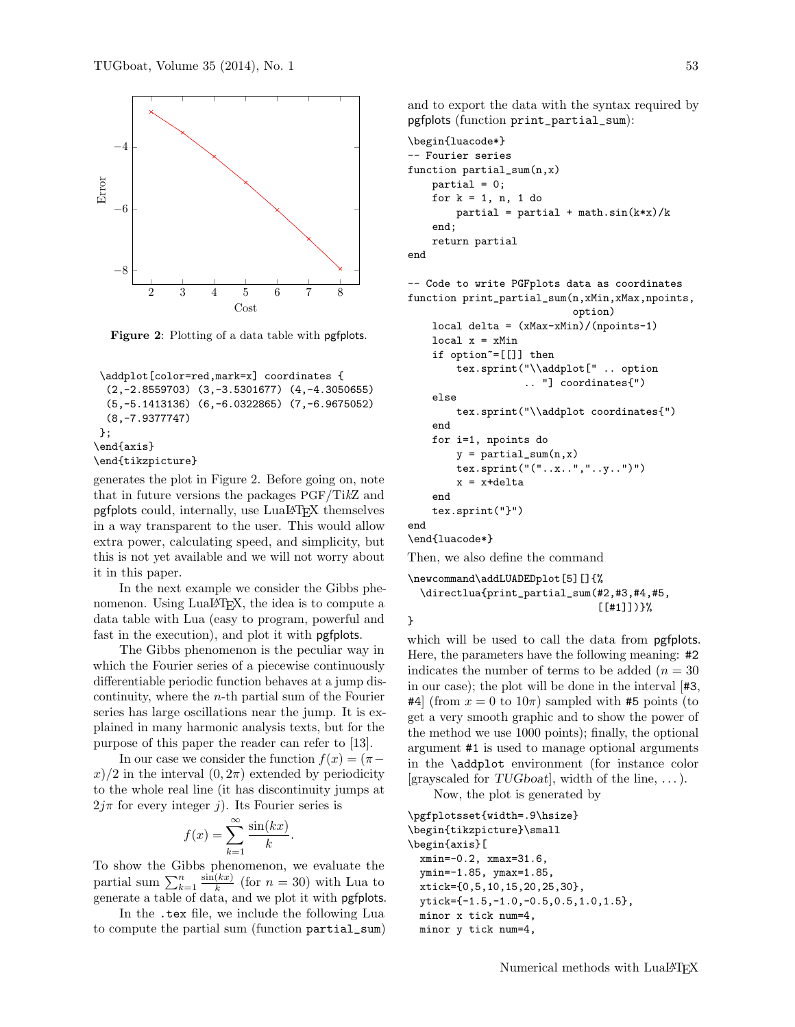

Figure 2: Plotting of a data table with pgfplots.

```
\addplot[color=red,mark=x] coordinates {
  (2,-2.8559703) (3,-3.5301677) (4,-4.3050655)
  (5,-5.1413136) (6,-6.0322865) (7,-6.9675052)
  (8,-7.9377747)
};
\end{axis}
\end{tikzpicture}
```
generates the plot in Figure 2. Before going on, note that in future versions the packages PGF/TikZ and pgfplots could, internally, use LuaLATEX themselves in a way transparent to the user. This would allow extra power, calculating speed, and simplicity, but this is not yet available and we will not worry about it in this paper.

In the next example we consider the Gibbs phenomenon. Using LuaLAT<sub>E</sub>X, the idea is to compute a data table with Lua (easy to program, powerful and fast in the execution), and plot it with pgfplots.

The Gibbs phenomenon is the peculiar way in which the Fourier series of a piecewise continuously differentiable periodic function behaves at a jump discontinuity, where the  $n$ -th partial sum of the Fourier series has large oscillations near the jump. It is explained in many harmonic analysis texts, but for the purpose of this paper the reader can refer to [13].

In our case we consider the function  $f(x) = (\pi$  $x/2$  in the interval  $(0, 2\pi)$  extended by periodicity to the whole real line (it has discontinuity jumps at  $2j\pi$  for every integer j). Its Fourier series is

$$
f(x) = \sum_{k=1}^{\infty} \frac{\sin(kx)}{k}.
$$

To show the Gibbs phenomenon, we evaluate the partial sum  $\sum_{k=1}^{n} \frac{\sin(kx)}{k}$  $\frac{k(x)}{k}$  (for  $n = 30$ ) with Lua to generate a table of data, and we plot it with pgfplots.

In the .tex file, we include the following Lua to compute the partial sum (function partial\_sum) and to export the data with the syntax required by pgfplots (function print\_partial\_sum):

```
\begin{luacode*}
-- Fourier series
function partial_sum(n,x)
   partial = 0;for k = 1, n, 1 do
        partial = partial + math.sin(k*x)/kend;
   return partial
end
```

```
-- Code to write PGFplots data as coordinates
function print_partial_sum(n,xMin,xMax,npoints,
                           option)
   local delta = (xMax-xMin)/(npoints-1)
   local x = xMinif option~=[[]] then
        tex.sprint("\\addplot[" .. option
                   .. "] coordinates{")
   else
        tex.sprint("\\addplot coordinates{")
   end
```

```
for i=1, npoints do
        y = partial_sum(n, x)tex.sprint("("..x..","..y..")")
        x = x + deltaend
    tex.sprint("}")
end
```
\end{luacode\*}

Then, we also define the command

```
\newcommand\addLUADEDplot[5][]{%
  \directlua{print_partial_sum(#2,#3,#4,#5,
                                [[#1]])}%
```

```
}
```
which will be used to call the data from pgfplots. Here, the parameters have the following meaning: #2 indicates the number of terms to be added  $(n = 30)$ in our case); the plot will be done in the interval [#3, #4] (from  $x = 0$  to  $10\pi$ ) sampled with #5 points (to get a very smooth graphic and to show the power of the method we use 1000 points); finally, the optional argument #1 is used to manage optional arguments in the \addplot environment (for instance color [grayscaled for TUGboat], width of the line,  $\dots$ ).

Now, the plot is generated by

```
\pgfplotsset{width=.9\hsize}
\begin{tikzpicture}\small
\begin{axis}[
 xmin=-0.2, xmax=31.6,
 ymin=-1.85, ymax=1.85,
 xtick={0,5,10,15,20,25,30},
 ytick={-1.5,-1.0,-0.5,0.5,1.0,1.5},
 minor x tick num=4,
 minor y tick num=4,
```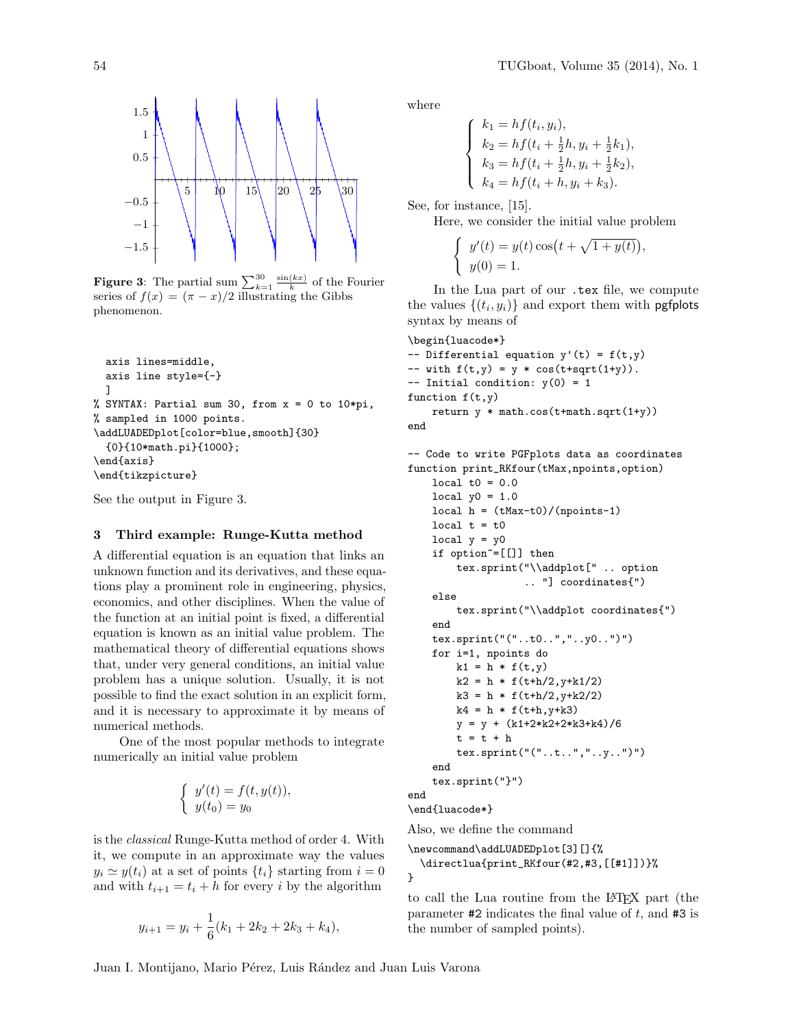

**Figure 3:** The partial sum  $\sum_{k=1}^{30} \frac{\sin(kx)}{k}$  of the Fourier series of  $f(x) = (\pi - x)/2$  illustrating the Gibbs phenomenon.

```
axis lines=middle,
  axis line style={-}
  ]
% SYNTAX: Partial sum 30, from x = 0 to 10*pi,
% sampled in 1000 points.
\addLUADEDplot[color=blue,smooth]{30}
  {0}{10*math.pi}{1000};
\end{axis}
\end{tikzpicture}
```
See the output in Figure 3.

# 3 Third example: Runge-Kutta method

A differential equation is an equation that links an unknown function and its derivatives, and these equations play a prominent role in engineering, physics, economics, and other disciplines. When the value of the function at an initial point is fixed, a differential equation is known as an initial value problem. The mathematical theory of differential equations shows that, under very general conditions, an initial value problem has a unique solution. Usually, it is not possible to find the exact solution in an explicit form, and it is necessary to approximate it by means of numerical methods.

One of the most popular methods to integrate numerically an initial value problem

$$
\begin{cases}\ny'(t) = f(t, y(t)), \\
y(t_0) = y_0\n\end{cases}
$$

is the classical Runge-Kutta method of order 4. With it, we compute in an approximate way the values  $y_i \simeq y(t_i)$  at a set of points  $\{t_i\}$  starting from  $i = 0$ and with  $t_{i+1} = t_i + h$  for every i by the algorithm

$$
y_{i+1} = y_i + \frac{1}{6}(k_1 + 2k_2 + 2k_3 + k_4),
$$

where

$$
\begin{cases}\nk_1 = h f(t_i, y_i), \\
k_2 = h f(t_i + \frac{1}{2}h, y_i + \frac{1}{2}k_1), \\
k_3 = h f(t_i + \frac{1}{2}h, y_i + \frac{1}{2}k_2), \\
k_4 = h f(t_i + h, y_i + k_3).\n\end{cases}
$$

See, for instance, [15].

Here, we consider the initial value problem

$$
\begin{cases} y'(t) = y(t)\cos(t + \sqrt{1 + y(t)}), \\ y(0) = 1. \end{cases}
$$

In the Lua part of our .tex file, we compute the values  $\{(t_i, y_i)\}\$  and export them with **pgfplots** syntax by means of

```
\begin{luacode*}
-- Differential equation y'(t) = f(t,y)-- with f(t,y) = y * cos(t+sqrt(1+y)).
-- Initial condition: y(0) = 1function f(t,y)return y * math.cos(t+math.sqrt(1+y))
end
-- Code to write PGFplots data as coordinates
function print_RKfour(tMax,npoints,option)
```

```
local t0 = 0.0local y0 = 1.0local h = (tMax-t0)/(npoints-1)local t = t0local y = y0if option~=[[]] then
       tex.sprint("\\addplot[" .. option
                   .. "] coordinates{")
   else
       tex.sprint("\\addplot coordinates{")
   end
   tex.sprint("("..t0..","..y0..")")
   for i=1, npoints do
       k1 = h * f(t,y)k2 = h * f(t+h/2, y+k1/2)k3 = h * f(t+h/2, y+k2/2)k4 = h * f(t+h, y+k3)y = y + (k1+2*k2+2*k3+k4)/6t = t + htex.sprint("("..t..","..y..")")
   end
   tex.sprint("}")
end
\end{luacode*}
```
Also, we define the command

```
\newcommand\addLUADEDplot[3][]{%
  \directlua{print_RKfour(#2,#3,[[#1]])}%
}
```
to call the Lua routine from the LATEX part (the parameter  $#2$  indicates the final value of t, and  $#3$  is the number of sampled points).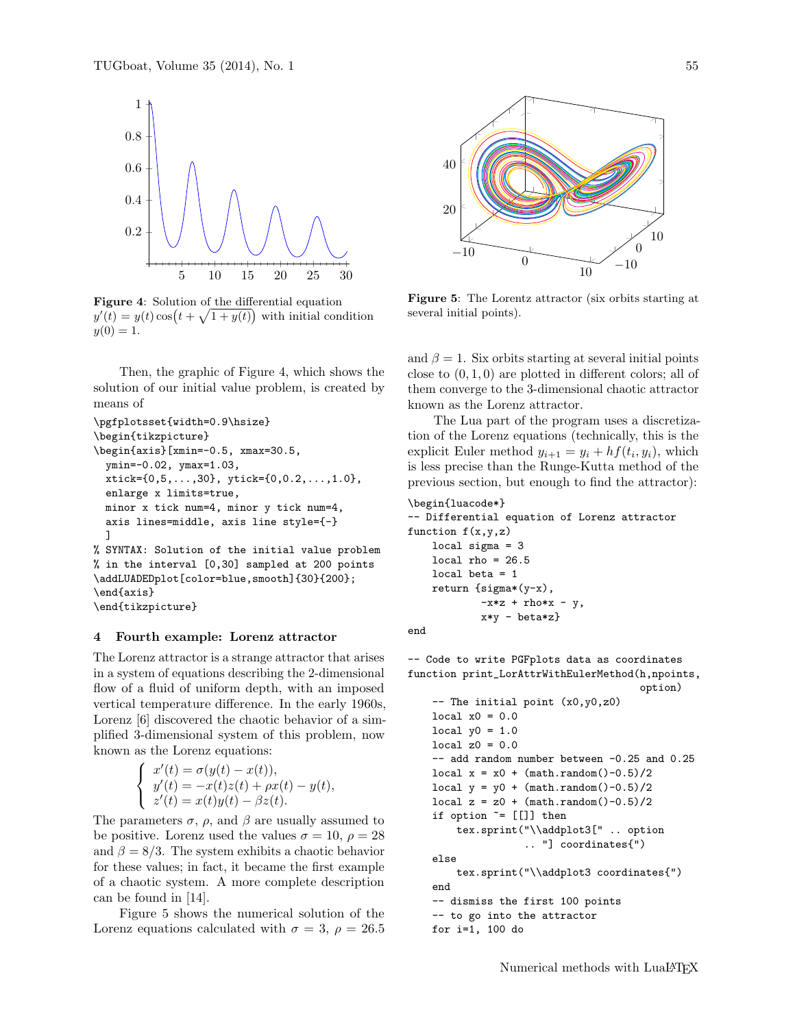

Figure 4: Solution of the differential equation  $y'(t) = y(t) \cos(t + \sqrt{1 + y(t)})$  with initial condition  $y(0) = 1.$ 

Then, the graphic of Figure 4, which shows the solution of our initial value problem, is created by means of

```
\pgfplotsset{width=0.9\hsize}
\begin{tikzpicture}
\begin{axis}[xmin=-0.5, xmax=30.5,
  ymin=-0.02, ymax=1.03,
  xtick = \{0, 5, \ldots, 30\}, ytick = \{0, 0.2, \ldots, 1.0\},enlarge x limits=true,
  minor x tick num=4, minor y tick num=4,
  axis lines=middle, axis line style={-}
  ]
% SYNTAX: Solution of the initial value problem
% in the interval [0,30] sampled at 200 points
\addLUADEDplot[color=blue,smooth]{30}{200};
\end{axis}
\end{tikzpicture}
```
#### 4 Fourth example: Lorenz attractor

The Lorenz attractor is a strange attractor that arises in a system of equations describing the 2-dimensional flow of a fluid of uniform depth, with an imposed vertical temperature difference. In the early 1960s, Lorenz [6] discovered the chaotic behavior of a simplified 3-dimensional system of this problem, now known as the Lorenz equations:

$$
\begin{cases}\nx'(t) = \sigma(y(t) - x(t)), \\
y'(t) = -x(t)z(t) + \rho x(t) - y(t), \\
z'(t) = x(t)y(t) - \beta z(t).\n\end{cases}
$$

The parameters  $\sigma$ ,  $\rho$ , and  $\beta$  are usually assumed to be positive. Lorenz used the values  $\sigma = 10, \ \rho = 28$ and  $\beta = 8/3$ . The system exhibits a chaotic behavior for these values; in fact, it became the first example of a chaotic system. A more complete description can be found in [14].

Figure 5 shows the numerical solution of the Lorenz equations calculated with  $\sigma = 3$ ,  $\rho = 26.5$ 



Figure 5: The Lorentz attractor (six orbits starting at several initial points).

and  $\beta = 1$ . Six orbits starting at several initial points close to  $(0, 1, 0)$  are plotted in different colors; all of them converge to the 3-dimensional chaotic attractor known as the Lorenz attractor.

The Lua part of the program uses a discretization of the Lorenz equations (technically, this is the explicit Euler method  $y_{i+1} = y_i + h f(t_i, y_i)$ , which is less precise than the Runge-Kutta method of the previous section, but enough to find the attractor):

```
\begin{luacode*}
-- Differential equation of Lorenz attractor
function f(x,y,z)local sigma = 3
    local rho = 26.5local beta = 1
    return {sigma*(y-x),
            -x*z + rho*x - y,x*y - beta*z}
end
```
-- Code to write PGFplots data as coordinates function print\_LorAttrWithEulerMethod(h,npoints, option)

```
-- The initial point (x0,y0,z0)
local x0 = 0.0local y0 = 1.0local z0 = 0.0-- add random number between -0.25 and 0.25
local x = x0 + (math.random() -0.5)/2local y = y0 + (math.random() -0.5)/2local z = z0 + (math.random() -0.5)/2if option z = [[1] then
    tex.sprint("\\addplot3[" .. option
               .. "] coordinates{")
else
    tex.sprint("\\addplot3 coordinates{")
end
-- dismiss the first 100 points
-- to go into the attractor
for i=1, 100 do
```